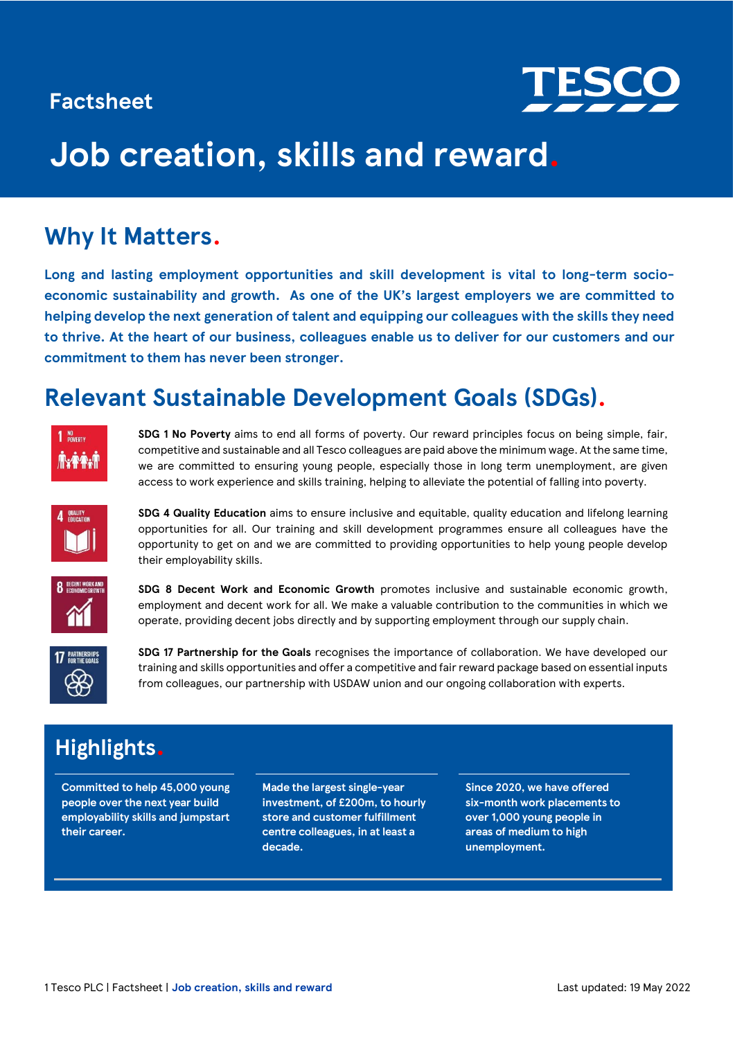## **Factsheet**



# **Job creation, skills and reward.**

## **Why It Matters.**

**Long and lasting employment opportunities and skill development is vital to long-term socioeconomic sustainability and growth. As one of the UK's largest employers we are committed to helping develop the next generation of talent and equipping our colleagues with the skills they need to thrive. At the heart of our business, colleagues enable us to deliver for our customers and our commitment to them has never been stronger.**

## **Relevant Sustainable Development Goals (SDGs).**



**SDG 1 No Poverty** aims to end all forms of poverty. Our reward principles focus on being simple, fair, competitive and sustainable and all Tesco colleagues are paid above the minimum wage. At the same time, we are committed to ensuring young people, especially those in long term unemployment, are given access to work experience and skills training, helping to alleviate the potential of falling into poverty.



**SDG 4 Quality Education** aims to ensure inclusive and equitable, quality education and lifelong learning opportunities for all. Our training and skill development programmes ensure all colleagues have the opportunity to get on and we are committed to providing opportunities to help young people develop their employability skills.



**SDG 8 Decent Work and Economic Growth** promotes inclusive and sustainable economic growth, employment and decent work for all. We make a valuable contribution to the communities in which we operate, providing decent jobs directly and by supporting employment through our supply chain.



**SDG 17 Partnership for the Goals** recognises the importance of collaboration. We have developed our training and skills opportunities and offer a competitive and fair reward package based on essential inputs from colleagues, our partnership with USDAW union and our ongoing collaboration with experts.

## **Highlights.**

**Committed to help 45,000 young people over the next year build employability skills and jumpstart their career.** 

**Made the largest single-year investment, of £200m, to hourly store and customer fulfillment centre colleagues, in at least a decade.**

**Since 2020, we have offered six-month work placements to over 1,000 young people in areas of medium to high unemployment.**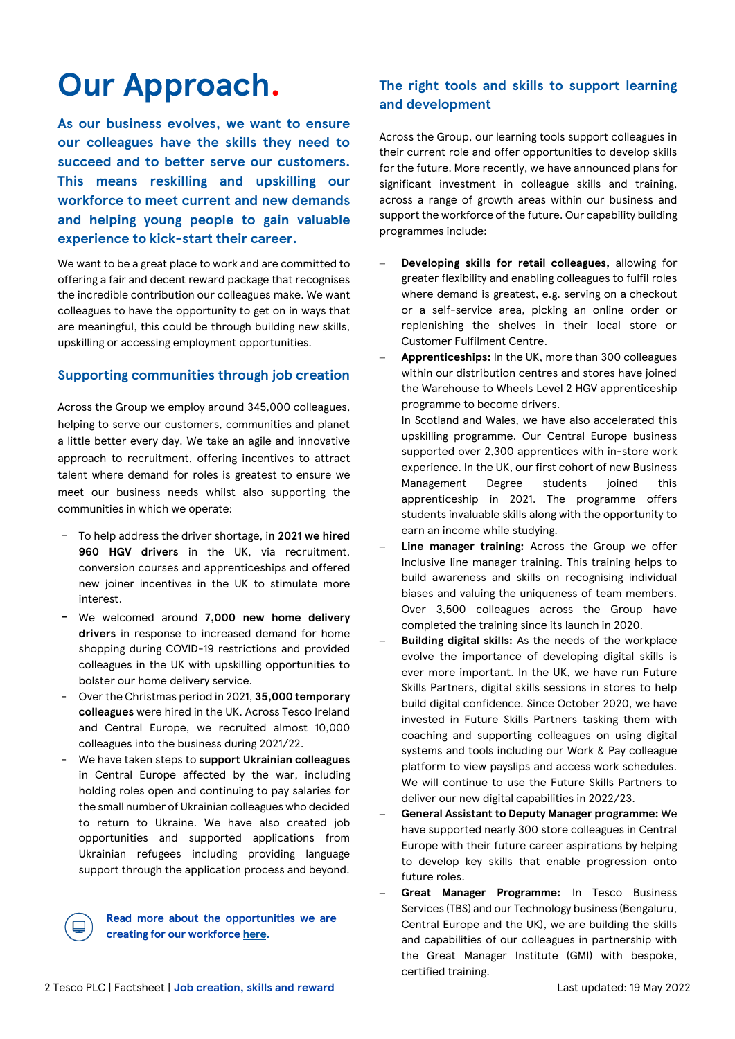# **Our Approach.**

**As our business evolves, we want to ensure our colleagues have the skills they need to succeed and to better serve our customers. This means reskilling and upskilling our workforce to meet current and new demands and helping young people to gain valuable experience to kick-start their career.** 

We want to be a great place to work and are committed to offering a fair and decent reward package that recognises the incredible contribution our colleagues make. We want colleagues to have the opportunity to get on in ways that are meaningful, this could be through building new skills, upskilling or accessing employment opportunities.

## **Supporting communities through job creation**

Across the Group we employ around 345,000 colleagues, helping to serve our customers, communities and planet a little better every day. We take an agile and innovative approach to recruitment, offering incentives to attract talent where demand for roles is greatest to ensure we meet our business needs whilst also supporting the communities in which we operate:

- To help address the driver shortage, i**n 2021 we hired 960 HGV drivers** in the UK, via recruitment, conversion courses and apprenticeships and offered new joiner incentives in the UK to stimulate more interest.
- We welcomed around **7,000 new home delivery drivers** in response to increased demand for home shopping during COVID-19 restrictions and provided colleagues in the UK with upskilling opportunities to bolster our home delivery service.
- Over the Christmas period in 2021, **35,000 temporary colleagues** were hired in the UK. Across Tesco Ireland and Central Europe, we recruited almost 10,000 colleagues into the business during 2021/22.
- We have taken steps to **support Ukrainian colleagues** in Central Europe affected by the war, including holding roles open and continuing to pay salaries for the small number of Ukrainian colleagues who decided to return to Ukraine. We have also created job opportunities and supported applications from Ukrainian refugees including providing language support through the application process and beyond.

**Read more about the opportunities we are creating for our workforc[e here.](https://www.tesco-careers.com/)**

## **The right tools and skills to support learning and development**

Across the Group, our learning tools support colleagues in their current role and offer opportunities to develop skills for the future. More recently, we have announced plans for significant investment in colleague skills and training, across a range of growth areas within our business and support the workforce of the future. Our capability building programmes include:

- − **Developing skills for retail colleagues,** allowing for greater flexibility and enabling colleagues to fulfil roles where demand is greatest, e.g. serving on a checkout or a self-service area, picking an online order or replenishing the shelves in their local store or Customer Fulfilment Centre.
- − **Apprenticeships:** In the UK, more than 300 colleagues within our distribution centres and stores have joined the Warehouse to Wheels Level 2 HGV apprenticeship programme to become drivers.

In Scotland and Wales, we have also accelerated this upskilling programme. Our Central Europe business supported over 2,300 apprentices with in-store work experience. In the UK, our first cohort of new Business Management Degree students joined this apprenticeship in 2021. The programme offers students invaluable skills along with the opportunity to earn an income while studying.

- Line manager training: Across the Group we offer Inclusive line manager training. This training helps to build awareness and skills on recognising individual biases and valuing the uniqueness of team members. Over 3,500 colleagues across the Group have completed the training since its launch in 2020.
- Building digital skills: As the needs of the workplace evolve the importance of developing digital skills is ever more important. In the UK, we have run Future Skills Partners, digital skills sessions in stores to help build digital confidence. Since October 2020, we have invested in Future Skills Partners tasking them with coaching and supporting colleagues on using digital systems and tools including our Work & Pay colleague platform to view payslips and access work schedules. We will continue to use the Future Skills Partners to deliver our new digital capabilities in 2022/23.
- − **General Assistant to Deputy Manager programme:** We have supported nearly 300 store colleagues in Central Europe with their future career aspirations by helping to develop key skills that enable progression onto future roles.
- Great Manager Programme: In Tesco Business Services (TBS) and our Technology business (Bengaluru, Central Europe and the UK), we are building the skills and capabilities of our colleagues in partnership with the Great Manager Institute (GMI) with bespoke, certified training.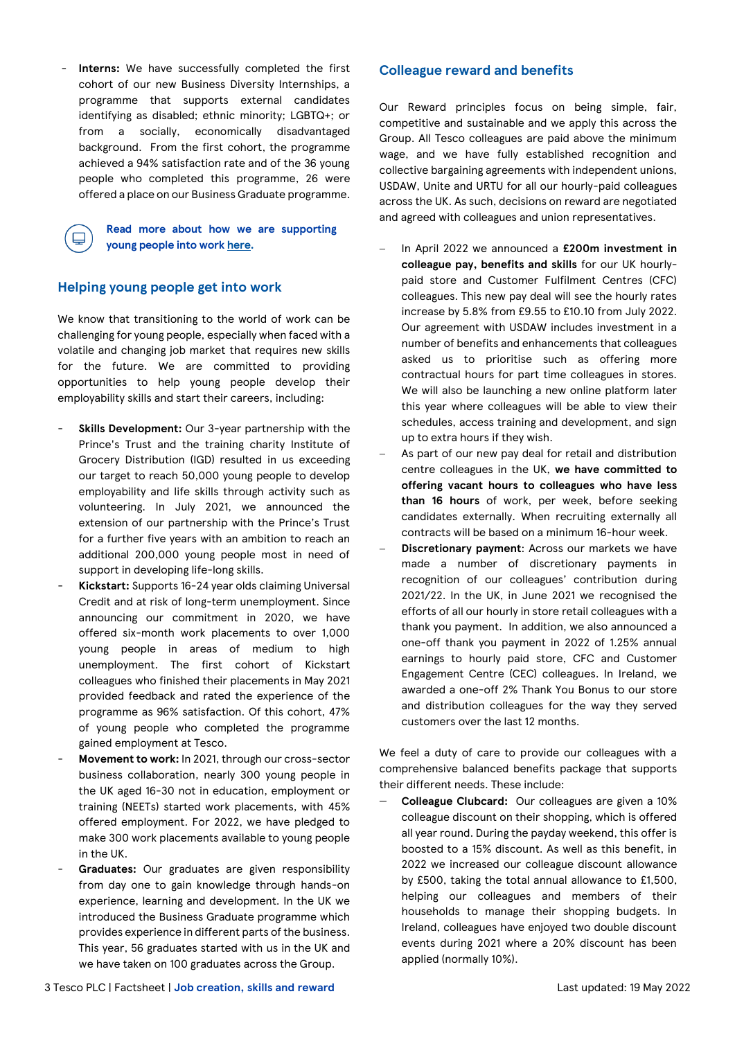Interns: We have successfully completed the first cohort of our new Business Diversity Internships, a programme that supports external candidates identifying as disabled; ethnic minority; LGBTQ+; or from a socially, economically disadvantaged background. From the first cohort, the programme achieved a 94% satisfaction rate and of the 36 young people who completed this programme, 26 were offered a place on our Business Graduate programme.

> **Read more about how we are supporting young people into work [here.](https://www.tescoplc.com/sustainability/colleagues/jobs-skills/)**

### **Helping young people get into work**

We know that transitioning to the world of work can be challenging for young people, especially when faced with a volatile and changing job market that requires new skills for the future. We are committed to providing opportunities to help young people develop their employability skills and start their careers, including:

- **Skills Development:** Our 3-year partnership with the Prince's Trust and the training charity Institute of Grocery Distribution (IGD) resulted in us exceeding our target to reach 50,000 young people to develop employability and life skills through activity such as volunteering. In July 2021, we announced the extension of our partnership with the Prince's Trust for a further five years with an ambition to reach an additional 200,000 young people most in need of support in developing life-long skills.
- Kickstart: Supports 16-24 year olds claiming Universal Credit and at risk of long-term unemployment. Since announcing our commitment in 2020, we have offered six-month work placements to over 1,000 young people in areas of medium to high unemployment. The first cohort of Kickstart colleagues who finished their placements in May 2021 provided feedback and rated the experience of the programme as 96% satisfaction. Of this cohort, 47% of young people who completed the programme gained employment at Tesco.
- Movement to work: In 2021, through our cross-sector business collaboration, nearly 300 young people in the UK aged 16-30 not in education, employment or training (NEETs) started work placements, with 45% offered employment. For 2022, we have pledged to make 300 work placements available to young people in the UK.
- Graduates: Our graduates are given responsibility from day one to gain knowledge through hands-on experience, learning and development. In the UK we introduced the Business Graduate programme which provides experience in different parts of the business. This year, 56 graduates started with us in the UK and we have taken on 100 graduates across the Group.

### **Colleague reward and benefits**

Our Reward principles focus on being simple, fair, competitive and sustainable and we apply this across the Group. All Tesco colleagues are paid above the minimum wage, and we have fully established recognition and collective bargaining agreements with independent unions, USDAW, Unite and URTU for all our hourly-paid colleagues across the UK. As such, decisions on reward are negotiated and agreed with colleagues and union representatives.

- − In April 2022 we announced a **£200m investment in colleague pay, benefits and skills** for our UK hourlypaid store and Customer Fulfilment Centres (CFC) colleagues. This new pay deal will see the hourly rates increase by 5.8% from £9.55 to £10.10 from July 2022. Our agreement with USDAW includes investment in a number of benefits and enhancements that colleagues asked us to prioritise such as offering more contractual hours for part time colleagues in stores. We will also be launching a new online platform later this year where colleagues will be able to view their schedules, access training and development, and sign up to extra hours if they wish.
- As part of our new pay deal for retail and distribution centre colleagues in the UK, **we have committed to offering vacant hours to colleagues who have less than 16 hours** of work, per week, before seeking candidates externally. When recruiting externally all contracts will be based on a minimum 16-hour week.
- − **Discretionary payment**: Across our markets we have made a number of discretionary payments in recognition of our colleagues' contribution during 2021/22. In the UK, in June 2021 we recognised the efforts of all our hourly in store retail colleagues with a thank you payment. In addition, we also announced a one-off thank you payment in 2022 of 1.25% annual earnings to hourly paid store, CFC and Customer Engagement Centre (CEC) colleagues. In Ireland, we awarded a one-off 2% Thank You Bonus to our store and distribution colleagues for the way they served customers over the last 12 months.

We feel a duty of care to provide our colleagues with a comprehensive balanced benefits package that supports their different needs. These include:

− **Colleague Clubcard:** Our colleagues are given a 10% colleague discount on their shopping, which is offered all year round. During the payday weekend, this offer is boosted to a 15% discount. As well as this benefit, in 2022 we increased our colleague discount allowance by £500, taking the total annual allowance to £1,500, helping our colleagues and members of their households to manage their shopping budgets. In Ireland, colleagues have enjoyed two double discount events during 2021 where a 20% discount has been applied (normally 10%).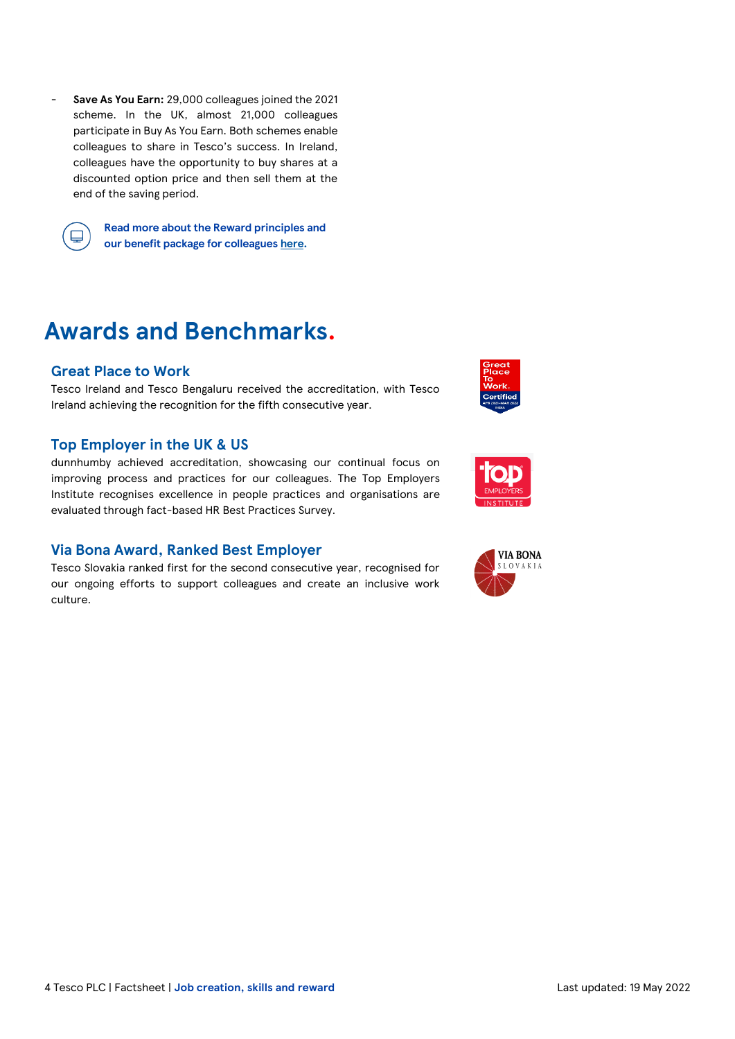- **Save As You Earn:** 29,000 colleagues joined the 2021 scheme. In the UK, almost 21,000 colleagues participate in Buy As You Earn. Both schemes enable colleagues to share in Tesco's success. In Ireland, colleagues have the opportunity to buy shares at a discounted option price and then sell them at the end of the saving period.



**Read more about the Reward principles and our benefit package for colleague[s here.](https://www.tescoplc.com/sustainability/colleagues/reward/)**

## **Awards and Benchmarks.**

## **Great Place to Work**

Tesco Ireland and Tesco Bengaluru received the accreditation, with Tesco Ireland achieving the recognition for the fifth consecutive year.

## **Top Employer in the UK & US**

dunnhumby achieved accreditation, showcasing our continual focus on improving process and practices for our colleagues. The Top Employers Institute recognises excellence in people practices and organisations are evaluated through fact-based HR Best Practices Survey.

## **Via Bona Award, Ranked Best Employer**

Tesco Slovakia ranked first for the second consecutive year, recognised for our ongoing efforts to support colleagues and create an inclusive work culture.





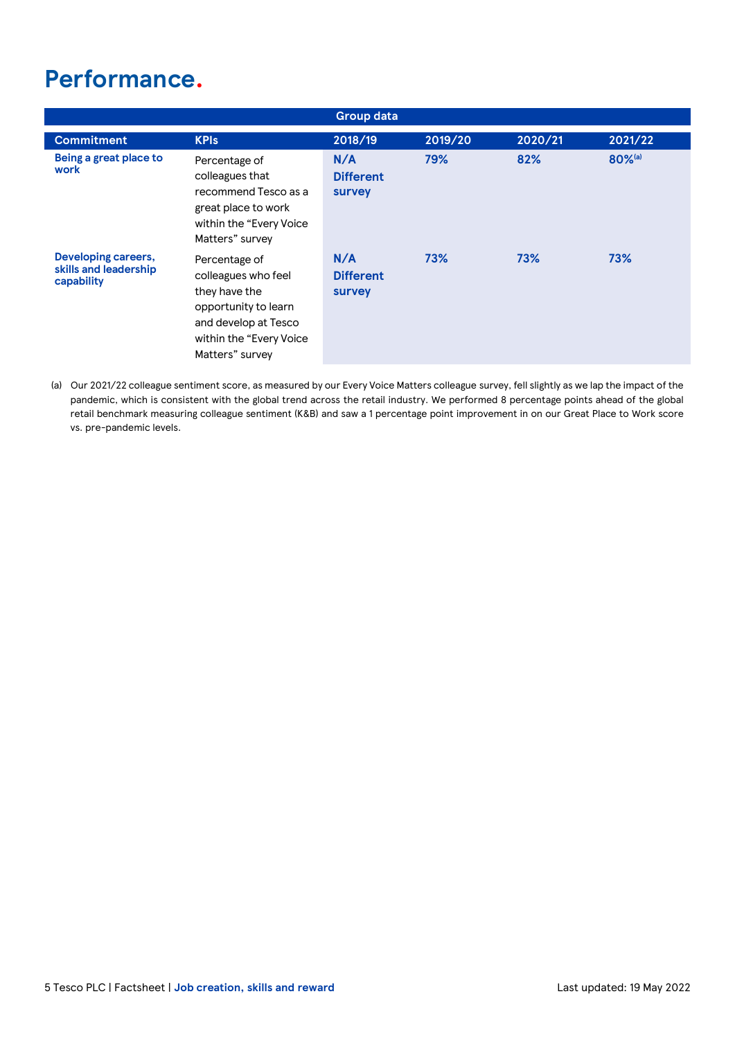## **Performance.**

|                                                            |                                                                                                                                                      | <b>Group data</b>                 |         |         |         |
|------------------------------------------------------------|------------------------------------------------------------------------------------------------------------------------------------------------------|-----------------------------------|---------|---------|---------|
| <b>Commitment</b>                                          | <b>KPIs</b>                                                                                                                                          | 2018/19                           | 2019/20 | 2020/21 | 2021/22 |
| Being a great place to<br>work                             | Percentage of<br>colleagues that<br>recommend Tesco as a<br>great place to work<br>within the "Every Voice"<br>Matters" survey                       | N/A<br><b>Different</b><br>survey | 79%     | 82%     | 80%(a)  |
| Developing careers,<br>skills and leadership<br>capability | Percentage of<br>colleagues who feel<br>they have the<br>opportunity to learn<br>and develop at Tesco<br>within the "Every Voice"<br>Matters" survey | N/A<br><b>Different</b><br>survey | 73%     | 73%     | 73%     |

(a) Our 2021/22 colleague sentiment score, as measured by our Every Voice Matters colleague survey, fell slightly as we lap the impact of the pandemic, which is consistent with the global trend across the retail industry. We performed 8 percentage points ahead of the global retail benchmark measuring colleague sentiment (K&B) and saw a 1 percentage point improvement in on our Great Place to Work score vs. pre-pandemic levels.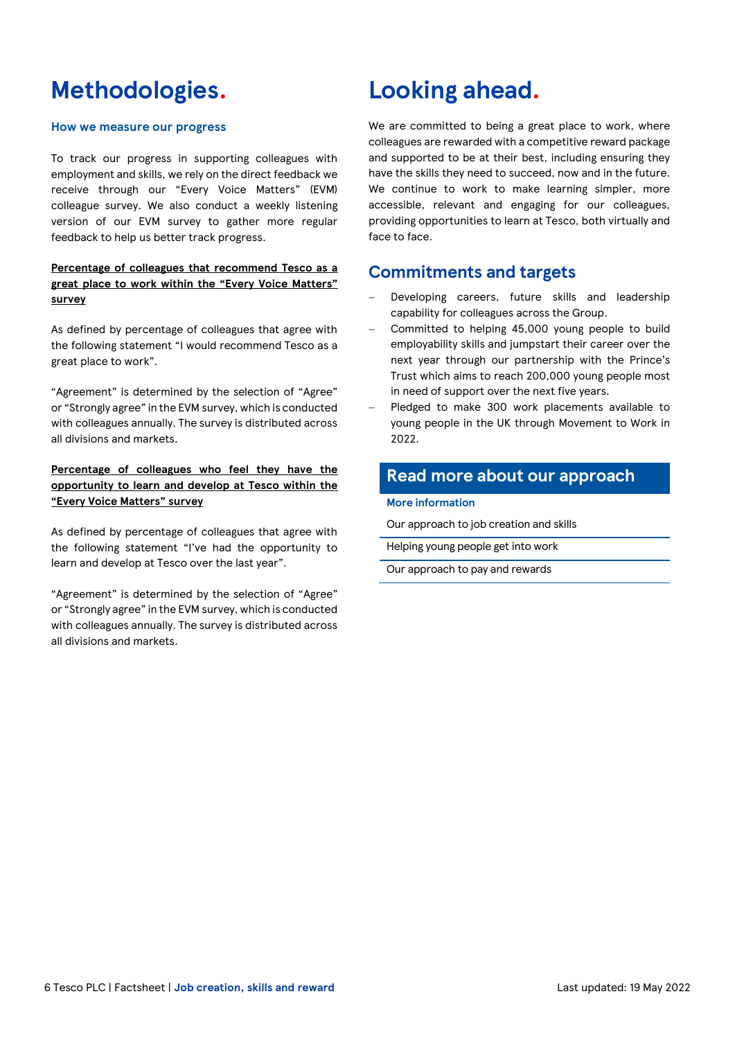## **Methodologies.**

### **How we measure our progress**

To track our progress in supporting colleagues with employment and skills, we rely on the direct feedback we receive through our "Every Voice Matters" (EVM) colleague survey. We also conduct a weekly listening version of our EVM survey to gather more regular feedback to help us better track progress.

## **Percentage of colleagues that recommend Tesco as a great place to work within the "Every Voice Matters" survey**

As defined by percentage of colleagues that agree with the following statement "I would recommend Tesco as a great place to work".

"Agreement" is determined by the selection of "Agree" or "Strongly agree" in the EVM survey, which is conducted with colleagues annually. The survey is distributed across all divisions and markets.

**Percentage of colleagues who feel they have the opportunity to learn and develop at Tesco within the "Every Voice Matters" survey** 

As defined by percentage of colleagues that agree with the following statement "I've had the opportunity to learn and develop at Tesco over the last year".

"Agreement" is determined by the selection of "Agree" or "Strongly agree" in the EVM survey, which is conducted with colleagues annually. The survey is distributed across all divisions and markets.

## **Looking ahead.**

We are committed to being a great place to work, where colleagues are rewarded with a competitive reward package and supported to be at their best, including ensuring they have the skills they need to succeed, now and in the future. We continue to work to make learning simpler, more accessible, relevant and engaging for our colleagues, providing opportunities to learn at Tesco, both virtually and face to face.

## **Commitments and targets**

- Developing careers, future skills and leadership capability for colleagues across the Group.
- − Committed to helping 45,000 young people to build employability skills and jumpstart their career over the next year through our partnership with the Prince's Trust which aims to reach 200,000 young people most in need of support over the next five years.
- Pledged to make 300 work placements available to young people in the UK through Movement to Work in 2022.

## **Read more about our approach**

### **More information**

[Our approach to job creation and skills](https://www.tescoplc.com/sustainability/colleagues/jobs-skills/)

[Helping young people get into work](https://www.tescoplc.com/sustainability/colleagues/jobs-skills/)

[Our approach to pay and rewards](https://www.tescoplc.com/sustainability/colleagues/reward/)